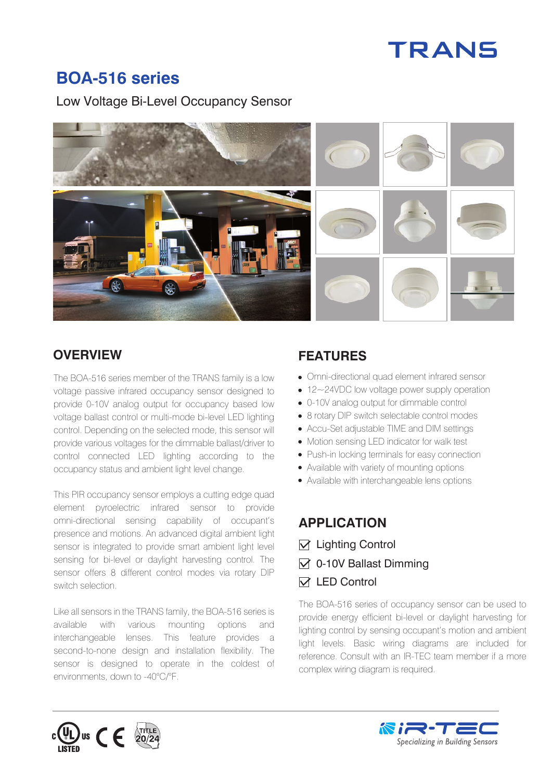# TRANS

## **BOA-516 series**

Low Voltage Bi-Level Occupancy Sensor



#### **OVERVIEW**

The BOA-516 series member of the TRANS family is a low voltage passive infrared occupancy sensor designed to provide 0-10V analog output for occupancy based low voltage ballast control or multi-mode bi-level LED lighting control. Depending on the selected mode, this sensor will provide various voltages for the dimmable ballast/driver to control connected LED lighting according to the occupancy status and ambient light level change.

This PIR occupancy sensor employs a cutting edge quad element pyroelectric infrared sensor to provide omni-directional sensing capability of occupant's presence and motions. An advanced digital ambient light sensor is integrated to provide smart ambient light level sensing for bi-level or daylight harvesting control. The sensor offers 8 different control modes via rotary DIP switch selection.

Like all sensors in the TRANS family, the BOA-516 series is available with various mounting options and interchangeable lenses. This feature provides a second-to-none design and installation flexibility. The sensor is designed to operate in the coldest of environments, down to -40°C/°F.

## **FEATURES**

- Omni-directional quad element infrared sensor
- 12~24VDC low voltage power supply operation
- 0-10V analog output for dimmable control
- 8 rotary DIP switch selectable control modes
- Accu-Set adjustable TIME and DIM settings
- Motion sensing LED indicator for walk test
- Push-in locking terminals for easy connection
- Available with variety of mounting options
- Available with interchangeable lens options

### **APPLICATION**

- $\nabla$  Lighting Control
- $\triangledown$  0-10V Ballast Dimming
- $\triangledown$  **LED Control**

The BOA-516 series of occupancy sensor can be used to provide energy efficient bi-level or daylight harvesting for lighting control by sensing occupant's motion and ambient light levels. Basic wiring diagrams are included for reference. Consult with an IR-TEC team member if a more complex wiring diagram is required.